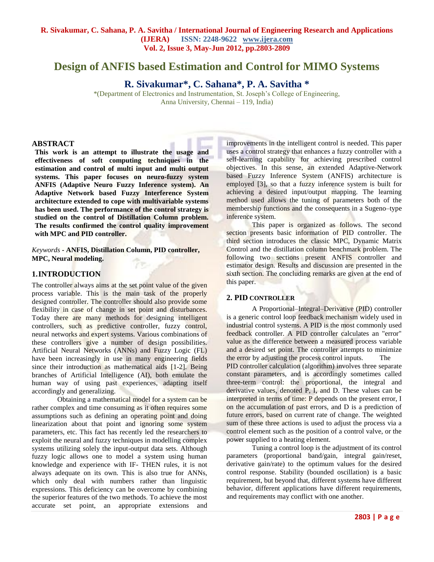# **Design of ANFIS based Estimation and Control for MIMO Systems**

**R. Sivakumar\*, C. Sahana\*, P. A. Savitha \***

\*(Department of Electronics and Instrumentation, St. Joseph's College of Engineering, Anna University, Chennai – 119, India)

#### **ABSTRACT**

**This work is an attempt to illustrate the usage and effectiveness of soft computing techniques in the estimation and control of multi input and multi output systems. This paper focuses on neuro-fuzzy system ANFIS (Adaptive Neuro Fuzzy Inference system). An Adaptive Network based Fuzzy Interference System architecture extended to cope with multivariable systems has been used. The performance of the control strategy is studied on the control of Distillation Column problem. The results confirmed the control quality improvement with MPC and PID controller.**

*Keywords* **- ANFIS, Distillation Column, PID controller, MPC, Neural modeling.**

## **1.INTRODUCTION**

The controller always aims at the set point value of the given process variable. This is the main task of the properly designed controller. The controller should also provide some flexibility in case of change in set point and disturbances. Today there are many methods for designing intelligent controllers, such as predictive controller, fuzzy control, neural networks and expert systems. Various combinations of these controllers give a number of design possibilities. Artificial Neural Networks (ANNs) and Fuzzy Logic (FL) have been increasingly in use in many engineering fields since their introduction as mathematical aids [1-2]. Being branches of Artificial Intelligence (AI), both emulate the human way of using past experiences, adapting itself accordingly and generalizing.

Obtaining a mathematical model for a system can be rather complex and time consuming as it often requires some assumptions such as defining an operating point and doing linearization about that point and ignoring some system parameters, etc. This fact has recently led the researchers to exploit the neural and fuzzy techniques in modelling complex systems utilizing solely the input-output data sets. Although fuzzy logic allows one to model a system using human knowledge and experience with IF- THEN rules, it is not always adequate on its own. This is also true for ANNs, which only deal with numbers rather than linguistic expressions. This deficiency can be overcome by combining the superior features of the two methods. To achieve the most accurate set point, an appropriate extensions and

improvements in the intelligent control is needed. This paper uses a control strategy that enhances a fuzzy controller with a self-learning capability for achieving prescribed control objectives. In this sense, an extended Adaptive-Network based Fuzzy Inference System (ANFIS) architecture is employed [3], so that a fuzzy inference system is built for achieving a desired input/output mapping. The learning method used allows the tuning of parameters both of the membership functions and the consequents in a Sugeno–type inference system.

This paper is organized as follows. The second section presents basic information of PID controller. The third section introduces the classic MPC, Dynamic Matrix Control and the distillation column benchmark problem. The following two sections present ANFIS controller and estimator design. Results and discussion are presented in the sixth section. The concluding remarks are given at the end of this paper.

## **2. PID CONTROLLER**

A Proportional–Integral–Derivative (PID) controller is a generic [control loop](http://en.wikipedia.org/wiki/Control_loop) [feedback mechanism](http://en.wikipedia.org/wiki/Feedback_mechanism) widely used in [industrial control systems.](http://en.wikipedia.org/wiki/Industrial_control_system) A PID is the most commonly used feedback controller. A PID controller calculates an "error" value as the difference between a measured [process variable](http://en.wikipedia.org/wiki/Process_variable) and a desired [set point.](http://en.wikipedia.org/wiki/Setpoint_%28control_system%29) The controller attempts to minimize the error by adjusting the process control inputs. The PID controller calculation [\(algorithm\)](http://en.wikipedia.org/wiki/Algorithm) involves three separate constant parameters, and is accordingly sometimes called three-term control: the [proportional,](http://en.wikipedia.org/wiki/Proportionality_%28mathematics%29) the [integral](http://en.wikipedia.org/wiki/Integral) and [derivative](http://en.wikipedia.org/wiki/Derivative) values, denoted P, I, and D. These values can be interpreted in terms of time: P depends on the present error, I on the accumulation of past errors, and D is a prediction of future errors, based on current rate of change. The weighted sum of these three actions is used to adjust the process via a control element such as the position of a control valve, or the power supplied to a heating element.

Tuning a control loop is the adjustment of its control parameters (proportional band/gain, integral gain/reset, derivative gain/rate) to the optimum values for the desired control response. Stability (bounded oscillation) is a basic requirement, but beyond that, different systems have different behavior, different applications have different requirements, and requirements may conflict with one another.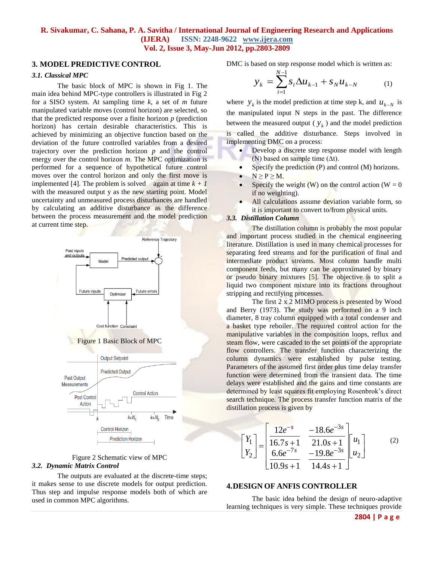#### **3. MODEL PREDICTIVE CONTROL**

#### *3.1. Classical MPC*

The basic block of MPC is shown in Fig 1. The main idea behind MPC-type controllers is illustrated in Fig 2 for a SISO system. At sampling time *k*, a set of *m* future manipulated variable moves (control horizon) are selected, so that the predicted response over a finite horizon  $p$  (prediction horizon) has certain desirable characteristics. This is achieved by minimizing an objective function based on the deviation of the future controlled variables from a desired trajectory over the prediction horizon *p* and the control energy over the control horizon *m*. The MPC optimization is performed for a sequence of hypothetical future control moves over the control horizon and only the first move is implemented [4]. The problem is solved again at time  $k + 1$ with the measured output y as the new starting point. Model uncertainty and unmeasured process disturbances are handled by calculating an additive disturbance as the difference between the process measurement and the model prediction at current time step.



Figure 1 Basic Block of MPC



#### Figure 2 Schematic view of MPC *3.2. Dynamic Matrix Control*

The outputs are evaluated at the discrete-time steps; it makes sense to use discrete models for output prediction. Thus step and impulse response models both of which are used in common MPC algorithms.

DMC is based on step response model which is written as:

$$
y_k = \sum_{i=1}^{N-1} s_i \Delta u_{k-1} + s_N u_{k-N}
$$
 (1)

where  $y_k$  is the model prediction at time step k, and  $u_{k-N}$  is the manipulated input N steps in the past. The difference between the measured output  $(y_k)$  and the model prediction is called the additive disturbance. Steps involved in implementing DMC on a process:

- Develop a discrete step response model with length (N) based on sample time (∆t).
- Specify the prediction (P) and control (M) horizons.
- $\bullet \quad N \ge P \ge M.$
- Specify the weight  $(W)$  on the control action  $(W = 0)$ if no weighting).
- All calculations assume deviation variable form, so it is important to convert to/from physical units.

#### *3.3. Distillation Column*

The distillation column is probably the most popular and important process studied in the chemical engineering literature. Distillation is used in many chemical processes for separating feed streams and for the purification of final and intermediate product streams. Most column handle multi component feeds, but many can be approximated by binary or pseudo binary mixtures [5]. The objective is to split a liquid two component mixture into its fractions throughout stripping and rectifying processes.

The first 2 x 2 MIMO process is presented by Wood and Berry (1973). The study was performed on a 9 inch diameter, 8 tray column equipped with a total condenser and a basket type reboiler. The required control action for the manipulative variables in the composition loops, reflux and steam flow, were cascaded to the set points of the appropriate flow controllers. The transfer function characterizing the column dynamics were established by pulse testing. Parameters of the assumed first order plus time delay transfer function were determined from the transient data. The time delays were established and the gains and time constants are determined by least squares fit employing Rosenbrok's direct search technique. The process transfer function matrix of the distillation process is given by

$$
\begin{bmatrix} Y_1 \\ Y_2 \end{bmatrix} = \begin{bmatrix} \frac{12e^{-s}}{16.7s+1} & \frac{-18.6e^{-3s}}{21.0s+1} \\ \frac{6.6e^{-7s}}{10.9s+1} & \frac{-19.8e^{-3s}}{14.4s+1} \end{bmatrix} \begin{bmatrix} u_1 \\ u_2 \end{bmatrix}
$$
 (2)

#### **4.DESIGN OF ANFIS CONTROLLER**

The basic idea behind the design of neuro-adaptive learning techniques is very simple. These techniques provide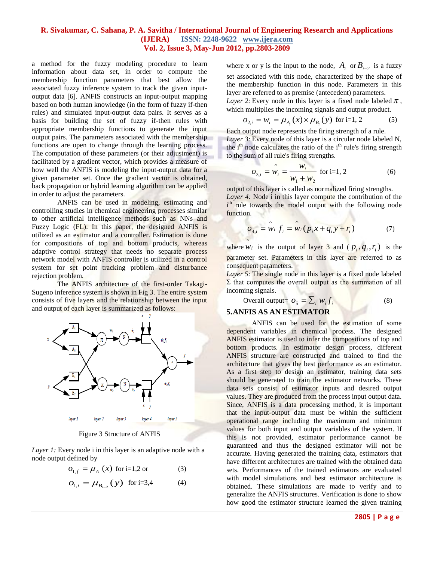a method for the fuzzy modeling procedure to learn information about data set, in order to compute the membership function parameters that best allow the associated fuzzy inference system to track the given inputoutput data [6]. ANFIS constructs an input-output mapping based on both human knowledge (in the form of fuzzy if-then rules) and simulated input-output data pairs. It serves as a basis for building the set of fuzzy if-then rules with appropriate membership functions to generate the input output pairs. The parameters associated with the membership functions are open to change through the learning process. The computation of these parameters (or their adjustment) is facilitated by a gradient vector, which provides a measure of how well the ANFIS is modeling the input-output data for a given parameter set. Once the gradient vector is obtained, back propagation or hybrid learning algorithm can be applied in order to adjust the parameters.

ANFIS can be used in modeling, estimating and controlling studies in chemical engineering processes similar to other artificial intelligence methods such as NNs and Fuzzy Logic (FL). In this paper, the designed ANFIS is utilized as an estimator and a controller. Estimation is done for compositions of top and bottom products, whereas adaptive control strategy that needs no separate process network model with ANFIS controller is utilized in a control system for set point tracking problem and disturbance rejection problem.

The ANFIS architecture of the first-order Takagi-Sugeno inference system is shown in Fig 3. The entire system consists of five layers and the relationship between the input and output of each layer is summarized as follows:



Figure 3 Structure of ANFIS

*Layer 1:* Every node *i* in this layer is an adaptive node with a node output defined by

$$
o_{1,f} = \mu_A(x) \text{ for i=1,2 or } (3)
$$

$$
O_{1,i} = \mu_{B_{i-2}}(y) \text{ for i=3,4} \tag{4}
$$

where x or y is the input to the node,  $A_i$  or  $B_{i-2}$  is a fuzzy set associated with this node, characterized by the shape of the membership function in this node. Parameters in this layer are referred to as premise (antecedent) parameters. *Layer 2:* Every node in this layer is a fixed node labeled  $\pi$ , which multiplies the incoming signals and output product.

$$
o_{2,i} = w_i = \mu_{A_i}(x) \times \mu_{B_i}(y) \text{ for i=1, 2}
$$
 (5)

Each output node represents the firing strength of a rule. *Layer 3:* Every node of this layer is a circular node labeled N, the  $i<sup>th</sup>$  node calculates the ratio of the  $i<sup>th</sup>$  rule's firing strength to the sum of all rule's firing strengths.

$$
o_{3,i} = \hat{w}_i = \frac{w_i}{w_1 + w_2} \text{ for i=1, 2}
$$
 (6)

output of this layer is called as normalized firing strengths. *Layer 4:* Node i in this layer compute the contribution of the i<sup>th</sup> rule towards the model output with the following node

$$
o_{4,i} = \hat{w}_i f_i = \hat{w}_i (p_i x + q_i y + r_i)
$$
 (7)

where  $w_i$  is the output of layer 3 and  $(p_i, q_i, r_i)$  is the parameter set. Parameters in this layer are referred to as consequent parameters.

*Layer 5:* The single node in this layer is a fixed node labeled  $\Sigma$  that computes the overall output as the summation of all incoming signals.

Overall output= 
$$
O_5 = \sum_i w_i f_i
$$
 (8)

# **5.ANFIS AS AN ESTIMATOR**

function.

ANFIS can be used for the estimation of some dependent variables in chemical process. The designed ANFIS estimator is used to infer the compositions of top and bottom products. In estimator design process, different ANFIS structure are constructed and trained to find the architecture that gives the best performance as an estimator. As a first step to design an estimator, training data sets should be generated to train the estimator networks. These data sets consist of estimator inputs and desired output values. They are produced from the process input output data. Since, ANFIS is a data processing method, it is important that the input-output data must be within the sufficient operational range including the maximum and minimum values for both input and output variables of the system. If this is not provided, estimator performance cannot be guaranteed and thus the designed estimator will not be accurate. Having generated the training data, estimators that have different architectures are trained with the obtained data sets. Performances of the trained estimators are evaluated with model simulations and best estimator architecture is obtained. These simulations are made to verify and to generalize the ANFIS structures. Verification is done to show how good the estimator structure learned the given training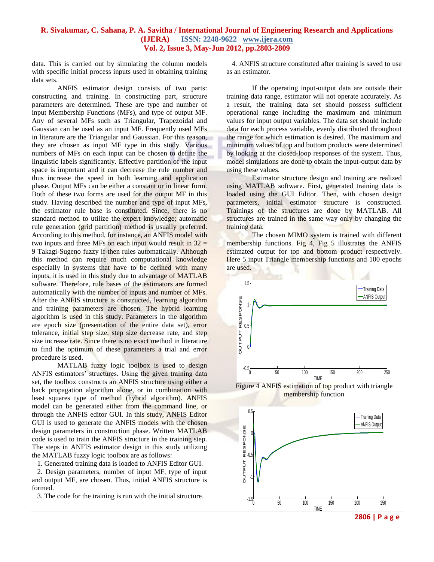data. This is carried out by simulating the column models with specific initial process inputs used in obtaining training data sets.

ANFIS estimator design consists of two parts: constructing and training. In constructing part, structure parameters are determined. These are type and number of input Membership Functions (MFs), and type of output MF. Any of several MFs such as Triangular, Trapezoidal and Gaussian can be used as an input MF. Frequently used MFs in literature are the Triangular and Gaussian. For this reason, they are chosen as input MF type in this study. Various numbers of MFs on each input can be chosen to define the linguistic labels significantly. Effective partition of the input space is important and it can decrease the rule number and thus increase the speed in both learning and application phase. Output MFs can be either a constant or in linear form. Both of these two forms are used for the output MF in this study. Having described the number and type of input MFs, the estimator rule base is constituted. Since, there is no standard method to utilize the expert knowledge; automatic rule generation (grid partition) method is usually preferred. According to this method, for instance, an ANFIS model with two inputs and three MFs on each input would result in  $32 =$ 9 Takagi-Sugeno fuzzy if-then rules automatically. Although this method can require much computational knowledge especially in systems that have to be defined with many inputs, it is used in this study due to advantage of MATLAB software. Therefore, rule bases of the estimators are formed automatically with the number of inputs and number of MFs. After the ANFIS structure is constructed, learning algorithm and training parameters are chosen. The hybrid learning algorithm is used in this study. Parameters in the algorithm are epoch size (presentation of the entire data set), error tolerance, initial step size, step size decrease rate, and step size increase rate. Since there is no exact method in literature to find the optimum of these parameters a trial and error procedure is used.

MATLAB fuzzy logic toolbox is used to design ANFIS estimators' structures. Using the given training data set, the toolbox constructs an ANFIS structure using either a back propagation algorithm alone, or in combination with least squares type of method (hybrid algorithm). ANFIS model can be generated either from the command line, or through the ANFIS editor GUI. In this study, ANFIS Editor GUI is used to generate the ANFIS models with the chosen design parameters in construction phase. Written MATLAB code is used to train the ANFIS structure in the training step. The steps in ANFIS estimator design in this study utilizing the MATLAB fuzzy logic toolbox are as follows:

1. Generated training data is loaded to ANFIS Editor GUI.

 2. Design parameters, number of input MF, type of input and output MF, are chosen. Thus, initial ANFIS structure is formed.

3. The code for the training is run with the initial structure.

 4. ANFIS structure constituted after training is saved to use as an estimator.

If the operating input-output data are outside their training data range, estimator will not operate accurately. As a result, the training data set should possess sufficient operational range including the maximum and minimum values for input output variables. The data set should include data for each process variable, evenly distributed throughout the range for which estimation is desired. The maximum and minimum values of top and bottom products were determined by looking at the closed-loop responses of the system. Thus, model simulations are done to obtain the input-output data by using these values.

Estimator structure design and training are realized using MATLAB software. First, generated training data is loaded using the GUI Editor. Then, with chosen design parameters, initial estimator structure is constructed. Trainings of the structures are done by MATLAB. All structures are trained in the same way only by changing the training data.

The chosen MIMO system is trained with different membership functions. Fig 4, Fig 5 illustrates the ANFIS estimated output for top and bottom product respectively. Here 5 input Triangle membership functions and 100 epochs are used.



Figure 4 ANFIS estimation of top product with triangle membership function



**2806 | P a g e**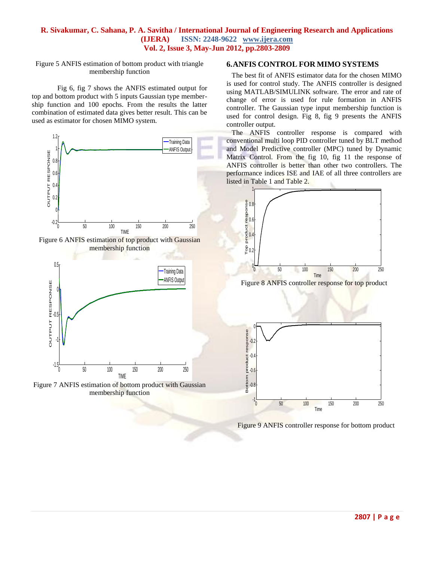Figure 5 ANFIS estimation of bottom product with triangle membership function

Fig 6, fig 7 shows the ANFIS estimated output for top and bottom product with 5 inputs Gaussian type membership function and 100 epochs. From the results the latter combination of estimated data gives better result. This can be used as estimator for chosen MIMO system.



Figure 6 ANFIS estimation of top product with Gaussian membership function





### **6.ANFIS CONTROL FOR MIMO SYSTEMS**

 The best fit of ANFIS estimator data for the chosen MIMO is used for control study. The ANFIS controller is designed using MATLAB/SIMULINK software. The error and rate of change of error is used for rule formation in ANFIS controller. The Gaussian type input membership function is used for control design. Fig 8, fig 9 presents the ANFIS controller output.

 The ANFIS controller response is compared with conventional multi loop PID controller tuned by BLT method and Model Predictive controller (MPC) tuned by Dynamic Matrix Control. From the fig 10, fig 11 the response of ANFIS controller is better than other two controllers. The performance indices ISE and IAE of all three controllers are listed in Table 1 and Table 2.





Figure 9 ANFIS controller response for bottom product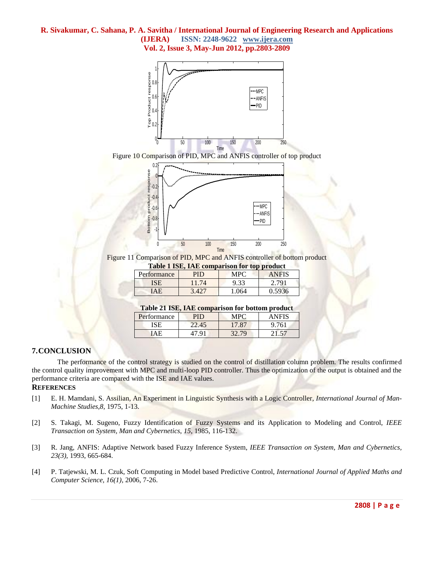





Figure 11 Comparison of PID, MPC and ANFIS controller of bottom product

| <b>Table 1 ISE, IAE comparison for top product</b> |       |       |              |  |
|----------------------------------------------------|-------|-------|--------------|--|
| Performance                                        | PID   | MPC.  | <b>ANFIS</b> |  |
| ISE                                                | 11.74 | 9.33  | 2.791        |  |
| <b>TAE</b>                                         | 3427  | 1 064 | 0.5936       |  |

## **Table 21 ISE, IAE comparison for bottom product**

| Performance | PID   | A PO  |     |
|-------------|-------|-------|-----|
| ISE         | 22.45 | 17 87 | 761 |
| 'ΔF         | 70.   | 32.79 |     |

# **7.CONCLUSION**

The performance of the control strategy is studied on the control of distillation column problem. The results confirmed the control quality improvement with MPC and multi-loop PID controller. Thus the optimization of the output is obtained and the performance criteria are compared with the ISE and IAE values.

# **REFERENCES**

- [1] E. H. Mamdani, S. Assilian, An Experiment in Linguistic Synthesis with a Logic Controller, *International Journal of Man-Machine Studies,8,* 1975, 1-13.
- [2] S. Takagi, M. Sugeno, Fuzzy Identification of Fuzzy Systems and its Application to Modeling and Control, *IEEE Transaction on System, Man and Cybernetics*, *15*, 1985, 116-132.
- [3] R. Jang, ANFIS: Adaptive Network based Fuzzy Inference System, *IEEE Transaction on System, Man and Cybernetics, 23(3),* 1993, 665-684.
- [4] P. Tatjewski, M. L. Czuk, Soft Computing in Model based Predictive Control, *International Journal of Applied Maths and Computer Science, 16(1),* 2006, 7-26.